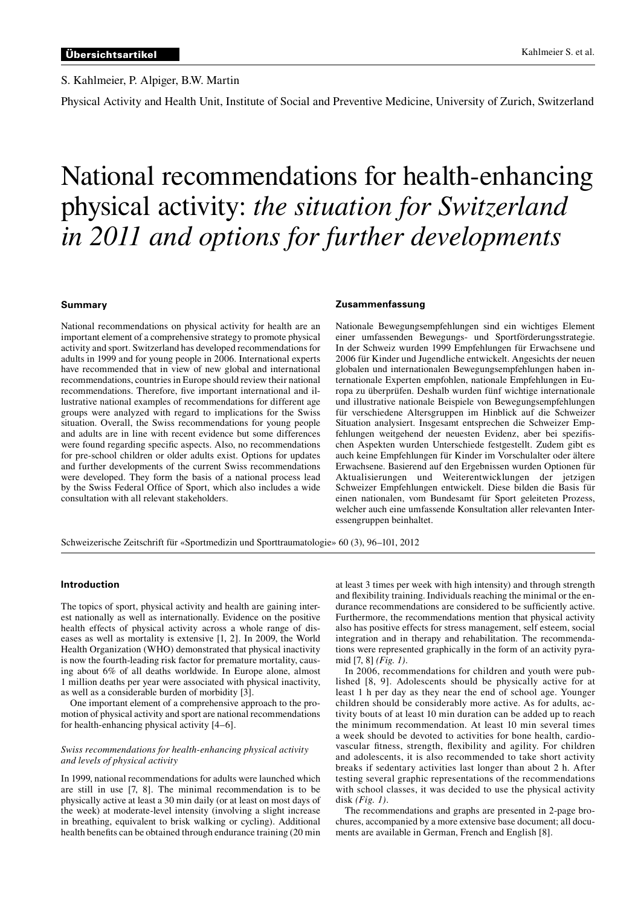S. Kahlmeier, P. Alpiger, B.W. Martin

Physical Activity and Health Unit, Institute of Social and Preventive Medicine, University of Zurich, Switzerland

# National recommendations for health-enhancing physical activity: *the situation for Switzerland in 2011 and options for further developments*

#### **Summary**

National recommendations on physical activity for health are an important element of a comprehensive strategy to promote physical activity and sport. Switzerland has developed recommendations for adults in 1999 and for young people in 2006. International experts have recommended that in view of new global and international recommendations, countries in Europe should review their national recommendations. Therefore, five important international and illustrative national examples of recommendations for different age groups were analyzed with regard to implications for the Swiss situation. Overall, the Swiss recommendations for young people and adults are in line with recent evidence but some differences were found regarding specific aspects. Also, no recommendations for pre-school children or older adults exist. Options for updates and further developments of the current Swiss recommendations were developed. They form the basis of a national process lead by the Swiss Federal Office of Sport, which also includes a wide consultation with all relevant stakeholders.

### **Zusammenfassung**

Nationale Bewegungsempfehlungen sind ein wichtiges Element einer umfassenden Bewegungs- und Sportförderungsstrategie. In der Schweiz wurden 1999 Empfehlungen für Erwachsene und 2006 für Kinder und Jugendliche entwickelt. Angesichts der neuen globalen und internationalen Bewegungsempfehlungen haben internationale Experten empfohlen, nationale Empfehlungen in Europa zu überprüfen. Deshalb wurden fünf wichtige internationale und illustrative nationale Beispiele von Bewegungsempfehlungen für verschiedene Altersgruppen im Hinblick auf die Schweizer Situation analysiert. Insgesamt entsprechen die Schweizer Empfehlungen weitgehend der neuesten Evidenz, aber bei spezifischen Aspekten wurden Unterschiede festgestellt. Zudem gibt es auch keine Empfehlungen für Kinder im Vorschulalter oder ältere Erwachsene. Basierend auf den Ergebnissen wurden Optionen für Aktualisierungen und Weiterentwicklungen der jetzigen Schweizer Empfehlungen entwickelt. Diese bilden die Basis für einen nationalen, vom Bundesamt für Sport geleiteten Prozess, welcher auch eine umfassende Konsultation aller relevanten Interessengruppen beinhaltet.

Schweizerische Zeitschrift für «Sportmedizin und Sporttraumatologie» 60 (3), 96–101, 2012

### **Introduction**

The topics of sport, physical activity and health are gaining interest nationally as well as internationally. Evidence on the positive health effects of physical activity across a whole range of diseases as well as mortality is extensive [1, 2]. In 2009, the World Health Organization (WHO) demonstrated that physical inactivity is now the fourth-leading risk factor for premature mortality, causing about 6% of all deaths worldwide. In Europe alone, almost 1 million deaths per year were associated with physical inactivity, as well as a considerable burden of morbidity [3].

One important element of a comprehensive approach to the promotion of physical activity and sport are national recommendations for health-enhancing physical activity [4–6].

#### *Swiss recommendations for health-enhancing physical activity and levels of physical activity*

In 1999, national recommendations for adults were launched which are still in use [7, 8]. The minimal recommendation is to be physically active at least a 30 min daily (or at least on most days of the week) at moderate-level intensity (involving a slight increase in breathing, equivalent to brisk walking or cycling). Additional health benefits can be obtained through endurance training (20 min

at least 3 times per week with high intensity) and through strength and flexibility training. Individuals reaching the minimal or the endurance recommendations are considered to be sufficiently active. Furthermore, the recommendations mention that physical activity also has positive effects for stress management, self esteem, social integration and in therapy and rehabilitation. The recommendations were represented graphically in the form of an activity pyramid [7, 8] *(Fig. 1)*.

In 2006, recommendations for children and youth were published [8, 9]. Adolescents should be physically active for at least 1 h per day as they near the end of school age. Younger children should be considerably more active. As for adults, activity bouts of at least 10 min duration can be added up to reach the minimum recommendation. At least 10 min several times a week should be devoted to activities for bone health, cardiovascular fitness, strength, flexibility and agility. For children and adolescents, it is also recommended to take short activity breaks if sedentary activities last longer than about 2 h. After testing several graphic representations of the recommendations with school classes, it was decided to use the physical activity disk *(Fig. 1)*.

The recommendations and graphs are presented in 2-page brochures, accompanied by a more extensive base document; all documents are available in German, French and English [8].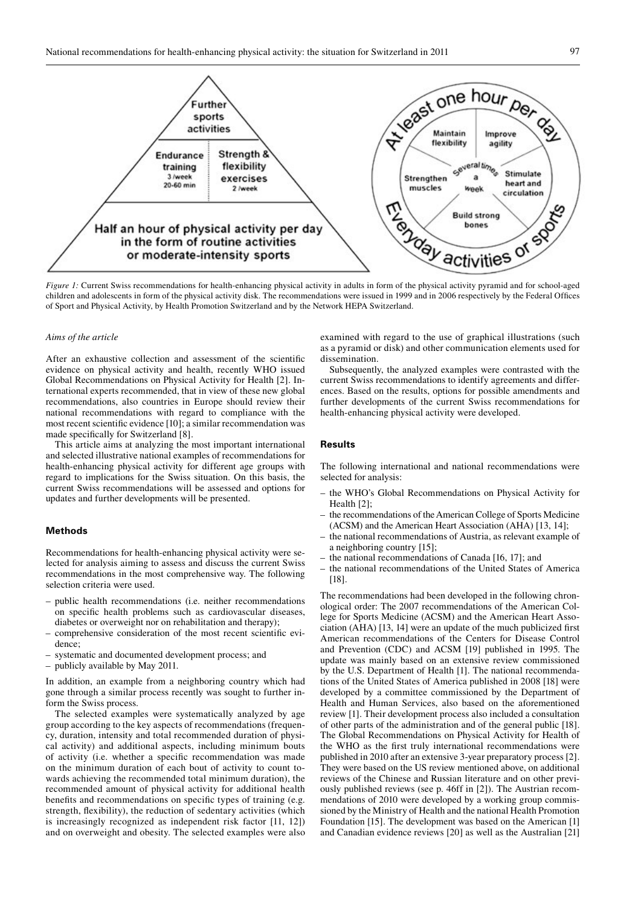

*Figure 1:* Current Swiss recommendations for health-enhancing physical activity in adults in form of the physical activity pyramid and for school-aged children and adolescents in form of the physical activity disk. The recommendations were issued in 1999 and in 2006 respectively by the Federal Offices of Sport and Physical Activity, by Health Promotion Switzerland and by the Network HEPA Switzerland.

#### *Aims of the article*

After an exhaustive collection and assessment of the scientific evidence on physical activity and health, recently WHO issued Global Recommendations on Physical Activity for Health [2]. International experts recommended, that in view of these new global recommendations, also countries in Europe should review their national recommendations with regard to compliance with the most recent scientific evidence [10]; a similar recommendation was made specifically for Switzerland [8].

This article aims at analyzing the most important international and selected illustrative national examples of recommendations for health-enhancing physical activity for different age groups with regard to implications for the Swiss situation. On this basis, the current Swiss recommendations will be assessed and options for updates and further developments will be presented.

#### **Methods**

Recommendations for health-enhancing physical activity were selected for analysis aiming to assess and discuss the current Swiss recommendations in the most comprehensive way. The following selection criteria were used.

- public health recommendations (i.e. neither recommendations on specific health problems such as cardiovascular diseases, diabetes or overweight nor on rehabilitation and therapy);
- comprehensive consideration of the most recent scientific evidence;
- systematic and documented development process; and
- publicly available by May 2011.

In addition, an example from a neighboring country which had gone through a similar process recently was sought to further inform the Swiss process.

The selected examples were systematically analyzed by age group according to the key aspects of recommendations (frequency, duration, intensity and total recommended duration of physical activity) and additional aspects, including minimum bouts of activity (i.e. whether a specific recommendation was made on the minimum duration of each bout of activity to count towards achieving the recommended total minimum duration), the recommended amount of physical activity for additional health benefits and recommendations on specific types of training (e.g. strength, flexibility), the reduction of sedentary activities (which is increasingly recognized as independent risk factor [11, 12]) and on overweight and obesity. The selected examples were also

examined with regard to the use of graphical illustrations (such as a pyramid or disk) and other communication elements used for dissemination.

Subsequently, the analyzed examples were contrasted with the current Swiss recommendations to identify agreements and differences. Based on the results, options for possible amendments and further developments of the current Swiss recommendations for health-enhancing physical activity were developed.

### **Results**

The following international and national recommendations were selected for analysis:

- the WHO's Global Recommendations on Physical Activity for Health [2];
- the recommendations of the American College of Sports Medicine (ACSM) and the American Heart Association (AHA) [13, 14];
- the national recommendations of Austria, as relevant example of a neighboring country [15];
- the national recommendations of Canada [16, 17]; and
- the national recommendations of the United States of America [18].

The recommendations had been developed in the following chronological order: The 2007 recommendations of the American College for Sports Medicine (ACSM) and the American Heart Association (AHA) [13, 14] were an update of the much publicized first American recommendations of the Centers for Disease Control and Prevention (CDC) and ACSM [19] published in 1995. The update was mainly based on an extensive review commissioned by the U.S. Department of Health [1]. The national recommendations of the United States of America published in 2008 [18] were developed by a committee commissioned by the Department of Health and Human Services, also based on the aforementioned review [1]. Their development process also included a consultation of other parts of the administration and of the general public [18]. The Global Recommendations on Physical Activity for Health of the WHO as the first truly international recommendations were published in 2010 after an extensive 3-year preparatory process [2]. They were based on the US review mentioned above, on additional reviews of the Chinese and Russian literature and on other previously published reviews (see p. 46ff in [2]). The Austrian recommendations of 2010 were developed by a working group commissioned by the Ministry of Health and the national Health Promotion Foundation [15]. The development was based on the American [1] and Canadian evidence reviews [20] as well as the Australian [21]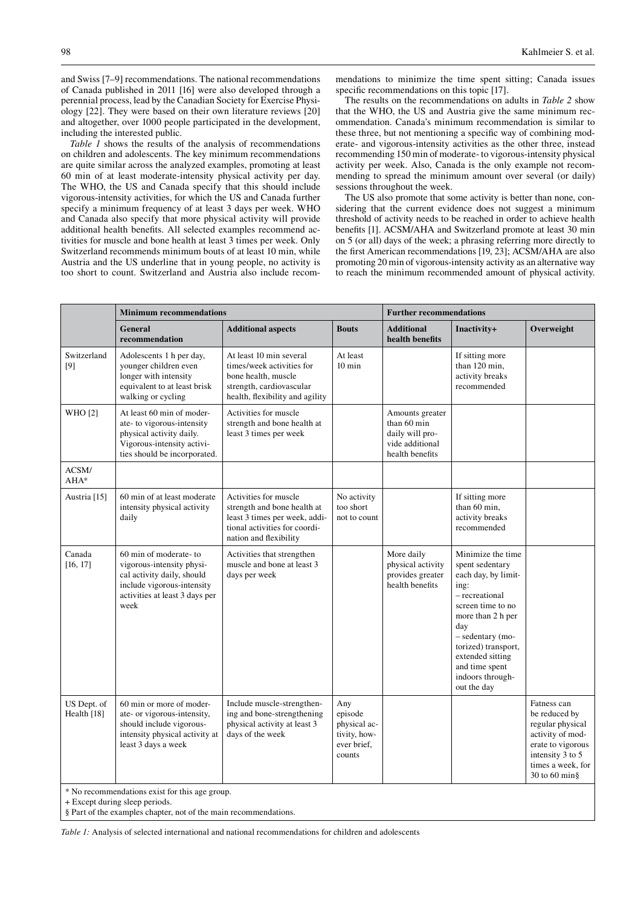and Swiss [7–9] recommendations. The national recommendations of Canada published in 2011 [16] were also developed through a perennial process, lead by the Canadian Society for Exercise Physiology [22]. They were based on their own literature reviews [20] and altogether, over 1000 people participated in the development, including the interested public.

*Table 1* shows the results of the analysis of recommendations on children and adolescents. The key minimum recommendations are quite similar across the analyzed examples, promoting at least 60 min of at least moderate-intensity physical activity per day. The WHO, the US and Canada specify that this should include vigorous-intensity activities, for which the US and Canada further specify a minimum frequency of at least 3 days per week. WHO and Canada also specify that more physical activity will provide additional health benefits. All selected examples recommend activities for muscle and bone health at least 3 times per week. Only Switzerland recommends minimum bouts of at least 10 min, while Austria and the US underline that in young people, no activity is too short to count. Switzerland and Austria also include recommendations to minimize the time spent sitting; Canada issues specific recommendations on this topic [17].

The results on the recommendations on adults in *Table 2* show that the WHO, the US and Austria give the same minimum recommendation. Canada's minimum recommendation is similar to these three, but not mentioning a specific way of combining moderate- and vigorous-intensity activities as the other three, instead recommending 150 min of moderate- to vigorous-intensity physical activity per week. Also, Canada is the only example not recommending to spread the minimum amount over several (or daily) sessions throughout the week.

The US also promote that some activity is better than none, considering that the current evidence does not suggest a minimum threshold of activity needs to be reached in order to achieve health benefits [1]. ACSM/AHA and Switzerland promote at least 30 min on 5 (or all) days of the week; a phrasing referring more directly to the first American recommendations [19, 23]; ACSM/AHA are also promoting 20 min of vigorous-intensity activity as an alternative way to reach the minimum recommended amount of physical activity.

|                            | <b>Minimum recommendations</b>                                                                                                                                                                                                      |                                                                                                                                                  | <b>Further recommendations</b>                                          |                                                                                         |                                                                                                                                                                                                                                                            |                                                                                                                                                     |  |
|----------------------------|-------------------------------------------------------------------------------------------------------------------------------------------------------------------------------------------------------------------------------------|--------------------------------------------------------------------------------------------------------------------------------------------------|-------------------------------------------------------------------------|-----------------------------------------------------------------------------------------|------------------------------------------------------------------------------------------------------------------------------------------------------------------------------------------------------------------------------------------------------------|-----------------------------------------------------------------------------------------------------------------------------------------------------|--|
|                            | General<br>recommendation                                                                                                                                                                                                           | <b>Additional aspects</b>                                                                                                                        | <b>Bouts</b>                                                            | <b>Additional</b><br>health benefits                                                    | Inactivity+                                                                                                                                                                                                                                                | Overweight                                                                                                                                          |  |
| Switzerland<br>[9]         | Adolescents 1 h per day,<br>younger children even<br>longer with intensity<br>equivalent to at least brisk<br>walking or cycling                                                                                                    | At least 10 min several<br>times/week activities for<br>bone health, muscle<br>strength, cardiovascular<br>health, flexibility and agility       | At least<br>$10 \text{ min}$                                            |                                                                                         | If sitting more<br>than 120 min,<br>activity breaks<br>recommended                                                                                                                                                                                         |                                                                                                                                                     |  |
| <b>WHO</b> [2]             | At least 60 min of moder-<br>ate- to vigorous-intensity<br>physical activity daily.<br>Vigorous-intensity activi-<br>ties should be incorporated.                                                                                   | Activities for muscle<br>strength and bone health at<br>least 3 times per week                                                                   |                                                                         | Amounts greater<br>than 60 min<br>daily will pro-<br>vide additional<br>health benefits |                                                                                                                                                                                                                                                            |                                                                                                                                                     |  |
| ACSM/<br>AHA*              |                                                                                                                                                                                                                                     |                                                                                                                                                  |                                                                         |                                                                                         |                                                                                                                                                                                                                                                            |                                                                                                                                                     |  |
| Austria [15]               | 60 min of at least moderate<br>intensity physical activity<br>daily                                                                                                                                                                 | Activities for muscle<br>strength and bone health at<br>least 3 times per week, addi-<br>tional activities for coordi-<br>nation and flexibility | No activity<br>too short<br>not to count                                |                                                                                         | If sitting more<br>than 60 min,<br>activity breaks<br>recommended                                                                                                                                                                                          |                                                                                                                                                     |  |
| Canada<br>[16, 17]         | 60 min of moderate-to<br>vigorous-intensity physi-<br>cal activity daily, should<br>include vigorous-intensity<br>activities at least 3 days per<br>week                                                                            | Activities that strengthen<br>muscle and bone at least 3<br>days per week                                                                        |                                                                         | More daily<br>physical activity<br>provides greater<br>health benefits                  | Minimize the time<br>spent sedentary<br>each day, by limit-<br>ing:<br>- recreational<br>screen time to no<br>more than 2 h per<br>day<br>- sedentary (mo-<br>torized) transport,<br>extended sitting<br>and time spent<br>indoors through-<br>out the day |                                                                                                                                                     |  |
| US Dept. of<br>Health [18] | 60 min or more of moder-<br>ate- or vigorous-intensity,<br>should include vigorous-<br>intensity physical activity at<br>least 3 days a week<br>and the contract of the contract of the contract of the contract of the contract of | Include muscle-strengthen-<br>ing and bone-strengthening<br>physical activity at least 3<br>days of the week                                     | Any<br>episode<br>physical ac-<br>tivity, how-<br>ever brief.<br>counts |                                                                                         |                                                                                                                                                                                                                                                            | Fatness can<br>be reduced by<br>regular physical<br>activity of mod-<br>erate to vigorous<br>intensity 3 to 5<br>times a week, for<br>30 to 60 min§ |  |

\* No recommendations exist for this age group.

+ Except during sleep periods.

§ Part of the examples chapter, not of the main recommendations.

*Table 1:* Analysis of selected international and national recommendations for children and adolescents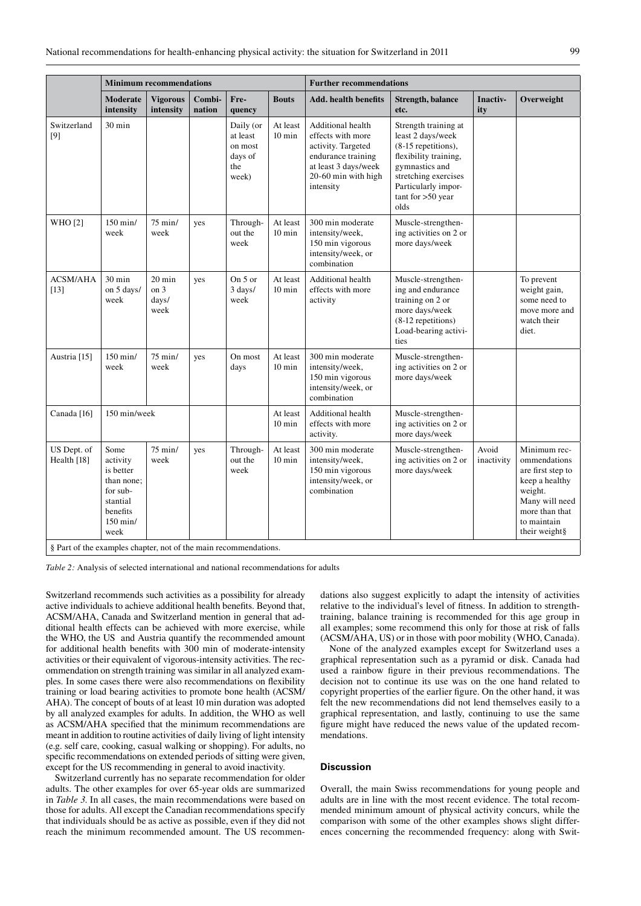|                                                                                                | <b>Minimum recommendations</b>                                                                        |                                           |                  |                                                             |                              | <b>Further recommendations</b>                                                                                                                 |                                                                                                                                                                                             |                        |                                                                                                                                                    |  |
|------------------------------------------------------------------------------------------------|-------------------------------------------------------------------------------------------------------|-------------------------------------------|------------------|-------------------------------------------------------------|------------------------------|------------------------------------------------------------------------------------------------------------------------------------------------|---------------------------------------------------------------------------------------------------------------------------------------------------------------------------------------------|------------------------|----------------------------------------------------------------------------------------------------------------------------------------------------|--|
|                                                                                                | <b>Moderate</b><br>intensity                                                                          | <b>Vigorous</b><br>intensity              | Combi-<br>nation | Fre-<br>quency                                              | <b>Bouts</b>                 | <b>Add. health benefits</b>                                                                                                                    | Strength, balance<br>etc.                                                                                                                                                                   | <b>Inactiv-</b><br>ity | Overweight                                                                                                                                         |  |
| Switzerland<br>[9]                                                                             | $30 \text{ min}$                                                                                      |                                           |                  | Daily (or<br>at least<br>on most<br>days of<br>the<br>week) | At least<br>$10 \text{ min}$ | Additional health<br>effects with more<br>activity. Targeted<br>endurance training<br>at least 3 days/week<br>20-60 min with high<br>intensity | Strength training at<br>least 2 days/week<br>$(8-15$ repetitions),<br>flexibility training,<br>gymnastics and<br>stretching exercises<br>Particularly impor-<br>$tant for >50 year$<br>olds |                        |                                                                                                                                                    |  |
| <b>WHO</b> [2]                                                                                 | $150 \text{ min}$<br>week                                                                             | $75$ min/<br>week                         | yes              | Through-<br>out the<br>week                                 | At least<br>$10 \text{ min}$ | 300 min moderate<br>intensity/week,<br>150 min vigorous<br>intensity/week, or<br>combination                                                   | Muscle-strengthen-<br>ing activities on 2 or<br>more days/week                                                                                                                              |                        |                                                                                                                                                    |  |
| <b>ACSM/AHA</b><br>$[13]$                                                                      | $30 \text{ min}$<br>on 5 days/<br>week                                                                | $20 \text{ min}$<br>on 3<br>days/<br>week | yes              | On 5 or<br>3 days/<br>week                                  | At least<br>$10 \text{ min}$ | Additional health<br>effects with more<br>activity                                                                                             | Muscle-strengthen-<br>ing and endurance<br>training on 2 or<br>more days/week<br>$(8-12$ repetitions)<br>Load-bearing activi-<br>ties                                                       |                        | To prevent<br>weight gain,<br>some need to<br>move more and<br>watch their<br>diet.                                                                |  |
| Austria [15]                                                                                   | $150$ min/<br>week                                                                                    | 75 min/<br>week                           | yes              | On most<br>days                                             | At least<br>$10 \text{ min}$ | 300 min moderate<br>intensity/week,<br>150 min vigorous<br>intensity/week, or<br>combination                                                   | Muscle-strengthen-<br>ing activities on 2 or<br>more days/week                                                                                                                              |                        |                                                                                                                                                    |  |
| Canada <sup>[16]</sup>                                                                         | 150 min/week                                                                                          |                                           |                  |                                                             | At least<br>$10 \text{ min}$ | <b>Additional health</b><br>effects with more<br>activity.                                                                                     | Muscle-strengthen-<br>ing activities on 2 or<br>more days/week                                                                                                                              |                        |                                                                                                                                                    |  |
| US Dept. of<br>Health [18]<br>§ Part of the examples chapter, not of the main recommendations. | Some<br>activity<br>is better<br>than none:<br>for sub-<br>stantial<br>benefits<br>$150$ min/<br>week | 75 min/<br>week                           | yes              | Through-<br>out the<br>week                                 | At least<br>$10 \text{ min}$ | 300 min moderate<br>intensity/week,<br>150 min vigorous<br>intensity/week, or<br>combination                                                   | Muscle-strengthen-<br>ing activities on 2 or<br>more days/week                                                                                                                              | Avoid<br>inactivity    | Minimum rec-<br>ommendations<br>are first step to<br>keep a healthy<br>weight.<br>Many will need<br>more than that<br>to maintain<br>their weight§ |  |

*Table 2:* Analysis of selected international and national recommendations for adults

Switzerland recommends such activities as a possibility for already active individuals to achieve additional health benefits. Beyond that, ACSM/AHA, Canada and Switzerland mention in general that additional health effects can be achieved with more exercise, while the WHO, the US and Austria quantify the recommended amount for additional health benefits with 300 min of moderate-intensity activities or their equivalent of vigorous-intensity activities. The recommendation on strength training was similar in all analyzed examples. In some cases there were also recommendations on flexibility training or load bearing activities to promote bone health (ACSM/ AHA). The concept of bouts of at least 10 min duration was adopted by all analyzed examples for adults. In addition, the WHO as well as ACSM/AHA specified that the minimum recommendations are meant in addition to routine activities of daily living of light intensity (e.g. self care, cooking, casual walking or shopping). For adults, no specific recommendations on extended periods of sitting were given, except for the US recommending in general to avoid inactivity.

Switzerland currently has no separate recommendation for older adults. The other examples for over 65-year olds are summarized in *Table 3*. In all cases, the main recommendations were based on those for adults. All except the Canadian recommendations specify that individuals should be as active as possible, even if they did not reach the minimum recommended amount. The US recommendations also suggest explicitly to adapt the intensity of activities relative to the individual's level of fitness. In addition to strengthtraining, balance training is recommended for this age group in all examples; some recommend this only for those at risk of falls (ACSM/AHA, US) or in those with poor mobility (WHO, Canada).

None of the analyzed examples except for Switzerland uses a graphical representation such as a pyramid or disk. Canada had used a rainbow figure in their previous recommendations. The decision not to continue its use was on the one hand related to copyright properties of the earlier figure. On the other hand, it was felt the new recommendations did not lend themselves easily to a graphical representation, and lastly, continuing to use the same figure might have reduced the news value of the updated recommendations.

#### **Discussion**

Overall, the main Swiss recommendations for young people and adults are in line with the most recent evidence. The total recommended minimum amount of physical activity concurs, while the comparison with some of the other examples shows slight differences concerning the recommended frequency: along with Swit-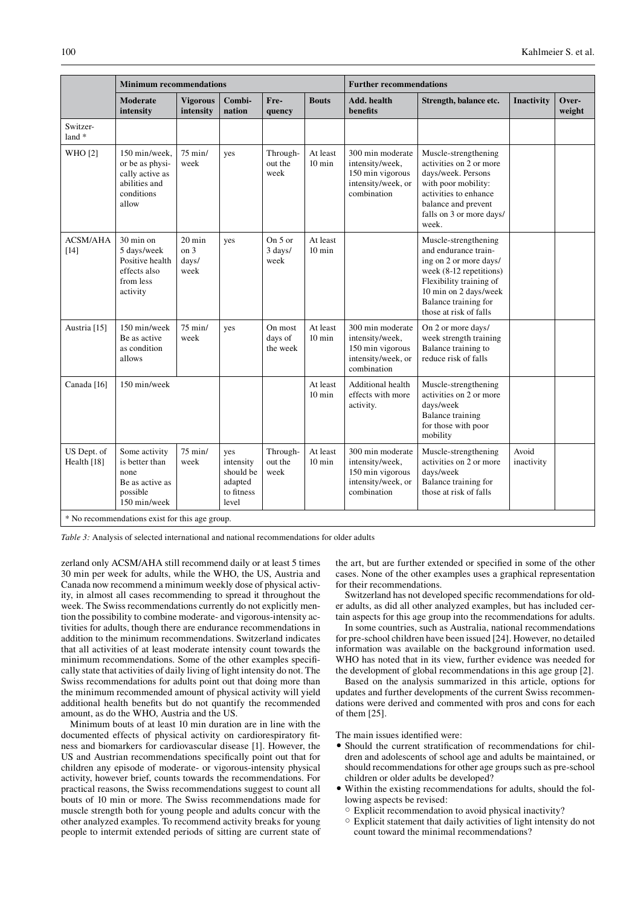|                            | <b>Minimum recommendations</b>                                                              |                                                      |                                                                 |                                |                              | <b>Further recommendations</b>                                                               |                                                                                                                                                                                                           |                     |                 |  |
|----------------------------|---------------------------------------------------------------------------------------------|------------------------------------------------------|-----------------------------------------------------------------|--------------------------------|------------------------------|----------------------------------------------------------------------------------------------|-----------------------------------------------------------------------------------------------------------------------------------------------------------------------------------------------------------|---------------------|-----------------|--|
|                            | <b>Moderate</b><br>intensity                                                                | <b>Vigorous</b><br>intensity                         | Combi-<br>nation                                                | Fre-<br>quency                 | <b>Bouts</b>                 | Add. health<br>benefits                                                                      | Strength, balance etc.                                                                                                                                                                                    | <b>Inactivity</b>   | Over-<br>weight |  |
| Switzer-<br>land $*$       |                                                                                             |                                                      |                                                                 |                                |                              |                                                                                              |                                                                                                                                                                                                           |                     |                 |  |
| WHO [2]                    | 150 min/week.<br>or be as physi-<br>cally active as<br>abilities and<br>conditions<br>allow | $75$ min/<br>week                                    | yes                                                             | Through-<br>out the<br>week    | At least<br>$10 \text{ min}$ | 300 min moderate<br>intensity/week,<br>150 min vigorous<br>intensity/week, or<br>combination | Muscle-strengthening<br>activities on 2 or more<br>days/week. Persons<br>with poor mobility:<br>activities to enhance<br>balance and prevent<br>falls on 3 or more days/<br>week.                         |                     |                 |  |
| <b>ACSM/AHA</b><br>$[14]$  | 30 min on<br>5 days/week<br>Positive health<br>effects also<br>from less<br>activity        | $20 \text{ min}$<br>on <sub>3</sub><br>days/<br>week | yes                                                             | On 5 or<br>3 days/<br>week     | At least<br>$10 \text{ min}$ |                                                                                              | Muscle-strengthening<br>and endurance train-<br>ing on 2 or more days/<br>week $(8-12$ repetitions)<br>Flexibility training of<br>10 min on 2 days/week<br>Balance training for<br>those at risk of falls |                     |                 |  |
| Austria [15]               | 150 min/week<br>Be as active<br>as condition<br>allows                                      | $75$ min/<br>week                                    | yes                                                             | On most<br>days of<br>the week | At least<br>$10 \text{ min}$ | 300 min moderate<br>intensity/week,<br>150 min vigorous<br>intensity/week, or<br>combination | On 2 or more days/<br>week strength training<br>Balance training to<br>reduce risk of falls                                                                                                               |                     |                 |  |
| Canada <sup>[16]</sup>     | 150 min/week                                                                                |                                                      |                                                                 |                                | At least<br>$10 \text{ min}$ | Additional health<br>effects with more<br>activity.                                          | Muscle-strengthening<br>activities on 2 or more<br>days/week<br>Balance training<br>for those with poor<br>mobility                                                                                       |                     |                 |  |
| US Dept. of<br>Health [18] | Some activity<br>is better than<br>none<br>Be as active as<br>possible<br>150 min/week      | 75 min/<br>week                                      | yes<br>intensity<br>should be<br>adapted<br>to fitness<br>level | Through-<br>out the<br>week    | At least<br>$10 \text{ min}$ | 300 min moderate<br>intensity/week,<br>150 min vigorous<br>intensity/week, or<br>combination | Muscle-strengthening<br>activities on 2 or more<br>days/week<br>Balance training for<br>those at risk of falls                                                                                            | Avoid<br>inactivity |                 |  |
|                            | * No recommendations exist for this age group.                                              |                                                      |                                                                 |                                |                              |                                                                                              |                                                                                                                                                                                                           |                     |                 |  |

*Table 3:* Analysis of selected international and national recommendations for older adults

zerland only ACSM/AHA still recommend daily or at least 5 times 30 min per week for adults, while the WHO, the US, Austria and Canada now recommend a minimum weekly dose of physical activity, in almost all cases recommending to spread it throughout the week. The Swiss recommendations currently do not explicitly mention the possibility to combine moderate- and vigorous-intensity activities for adults, though there are endurance recommendations in addition to the minimum recommendations. Switzerland indicates that all activities of at least moderate intensity count towards the minimum recommendations. Some of the other examples specifically state that activities of daily living of light intensity do not. The Swiss recommendations for adults point out that doing more than the minimum recommended amount of physical activity will yield additional health benefits but do not quantify the recommended amount, as do the WHO, Austria and the US.

Minimum bouts of at least 10 min duration are in line with the documented effects of physical activity on cardiorespiratory fitness and biomarkers for cardiovascular disease [1]. However, the US and Austrian recommendations specifically point out that for children any episode of moderate- or vigorous-intensity physical activity, however brief, counts towards the recommendations. For practical reasons, the Swiss recommendations suggest to count all bouts of 10 min or more. The Swiss recommendations made for muscle strength both for young people and adults concur with the other analyzed examples. To recommend activity breaks for young people to intermit extended periods of sitting are current state of the art, but are further extended or specified in some of the other cases. None of the other examples uses a graphical representation for their recommendations.

Switzerland has not developed specific recommendations for older adults, as did all other analyzed examples, but has included certain aspects for this age group into the recommendations for adults.

In some countries, such as Australia, national recommendations for pre-school children have been issued [24]. However, no detailed information was available on the background information used. WHO has noted that in its view, further evidence was needed for the development of global recommendations in this age group [2].

Based on the analysis summarized in this article, options for updates and further developments of the current Swiss recommendations were derived and commented with pros and cons for each of them [25].

The main issues identified were:

- Should the current stratification of recommendations for children and adolescents of school age and adults be maintained, or should recommendations for other age groups such as pre-school children or older adults be developed?
- Within the existing recommendations for adults, should the following aspects be revised:
	- Explicit recommendation to avoid physical inactivity?
	- $\circ$  Explicit statement that daily activities of light intensity do not count toward the minimal recommendations?